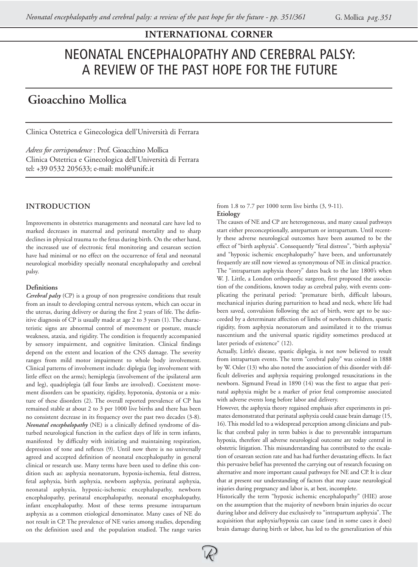# NEONATAL ENCEPHALOPATHY AND CEREBRAL PALSY: A REVIEW OF THE PAST HOPE FOR THE FUTURE

## **Gioacchino Mollica**

Clinica Ostetrica e Ginecologica dell'Università di Ferrara

*Adress for corrispondence* : Prof. Gioacchino Mollica Clinica Ostetrica e Ginecologica dell'Università di Ferrara tel: +39 0532 205633; e-mail: mol@unife.it

## **INTRODUCTION**

Improvements in obstetrics managements and neonatal care have led to marked decreases in maternal and perinatal mortality and to sharp declines in physical trauma to the fetus during birth. On the other hand, the increased use of electronic fetal monitoring and cesarean section have had minimal or no effect on the occurrence of fetal and neonatal neurological morbidity specially neonatal encephalopathy and cerebral palsy.

## **Definitions**

*Cerebral palsy* (CP) is a group of non progressive conditions that result from an insult to developing central nervous system, which can occur in the uterus, during delivery or during the first 2 years of life. The definitive diagnosis of CP is usually made at age 2 to 3 years (1). The characteristic signs are abnormal control of movement or posture, muscle weakness, ataxia, and rigidity. The condition is frequently accompanied by sensory impairment, and cognitive limitation. Clinical findings depend on the extent and location of the CNS damage. The severity ranges from mild motor impairment to whole body involvement. Clinical patterns of involvement include: diplegia (leg involvement with little effect on the arms); hemiplegia (involvement of the ipsilateral arm and leg), quadriplegia (all four limbs are involved). Coexistent movement disorders can be spasticity, rigidity, hypotonia, dystonia or a mixture of these disorders (2). The overall reported prevalence of CP has remained stable at about 2 to 3 per 1000 live births and there has been no consistent decrease in its frequency over the past two decades (3-8). *Neonatal encephalopathy* (NE) is a clinically defined syndrome of disturbed neurological function in the earliest days of life in term infants, manifested by difficulty with initiating and maintaining respiration, depression of tone and reflexes (9). Until now there is no universally agreed and accepted definition of neonatal encephalopathy in general clinical or research use. Many terms have been used to define this condition such as: asphyxia neonatorum, hypoxia-ischemia, fetal distress, fetal asphyxia, birth asphyxia, newborn asphyxia, perinatal asphyxia, neonatal asphyxia, hypoxic-ischemic encephalopathy, newborn encephalopathy, perinatal encephalopathy, neonatal encephalopathy, infant encephalopathy. Most of these terms presume intrapartum asphyxia as a common etiological denominator. Many cases of NE do not result in CP. The prevalence of NE varies among studies, depending on the definition used and the population studied. The range varies

#### from 1.8 to 7.7 per 1000 term live births (3, 9-11). **Etiology**

The causes of NE and CP are heterogeneous, and many causal pathways start either preconceptionally, antepartum or intrapartum. Until recently these adverse neurological outcomes have been assumed to be the effect of "birth asphyxia". Consequently "fetal distress", "birth asphyxia" and "hypoxic ischemic encephalopathy" have been, and unfortunately frequently are still now viewed as synonymous of NE in clinical practice. The "intrapartum asphyxia theory" dates back to the late 1800's when W. J. Little, a London orthopaedic surgeon, first proposed the association of the conditions, known today as cerebral palsy, with events complicating the perinatal period: "premature birth, difficult labours, mechanical injuries during parturition to head and neck, where life had been saved, convulsion following the act of birth, were apt to be succeeded by a determinate affection of limbs of newborn children, spastic rigidity, from asphyxia neonatorum and assimilated it to the trismus nascentium and the universal spastic rigidity sometimes produced at later periods of existence" (12).

Actually, Little's disease, spastic diplegia, is not now believed to result from intrapartum events. The term "cerebral palsy" was coined in 1888 by W. Osler (13) who also noted the association of this disorder with difficult deliveries and asphyxia requiring prolonged resuscitations in the newborn. Sigmund Freud in 1890 (14) was the first to argue that perinatal asphyxia might be a marker of prior fetal compromise associated with adverse events long before labor and delivery.

However, the asphyxia theory regained emphasis after experiments in primates demonstrated that perinatal asphyxia could cause brain damage (15, 16). This model led to a widespread perception among clinicians and public that cerebral palsy in term babies is due to preventable intrapartum hypoxia, therefore all adverse neurological outcome are today central in obstetric litigation. This misunderstanding has contributed to the escalation of cesarean section rate and has had further devastating effects. In fact this pervasive belief has prevented the carrying out of research focusing on alternative and more important causal pathways for NE and CP. It is clear that at present our understanding of factors that may cause neurological injuries during pregnancy and labor is, at best, incomplete.

Historically the term "hypoxic ischemic encephalopathy" (HIE) arose on the assumption that the majority of newborn brain injuries do occur during labor and delivery due exclusively to "intrapartum asphyxia". The acquisition that asphyxia/hypoxia can cause (and in some cases it does) brain damage during birth or labor, has led to the generalization of this

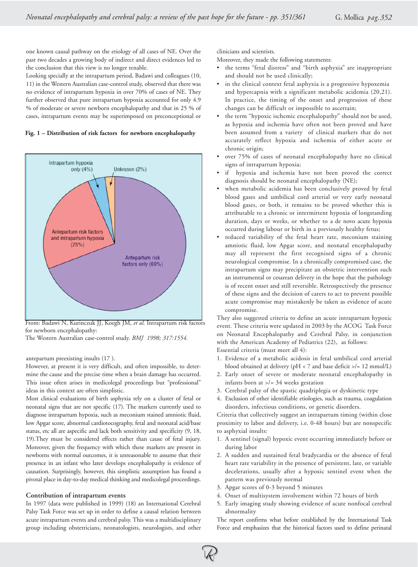one known causal pathway on the etiology of all cases of NE. Over the past two decades a growing body of indirect and direct evidences led to the conclusion that this view is no longer tenable.

Looking specially at the intrapartum period, Badawi and colleagues (10, 11) in the Western Australian case-control study, observed that there was no evidence of intrapartum hypoxia in over 70% of cases of NE. They further observed that pure intrapartum hypoxia accounted for only 4.9 % of moderate or severe newborn encephalopathy and that in 25 % of cases, intrapartum events may be superimposed on preconceptional or





From: Badawi N, Kurinczuk JJ, Koegh JM, *et al.* Intrapartum risk factors for newborn encephalopathy:

The Western Australian case-control study. *BMJ 1998; 317:1554.*

antepartum preexisting insults (17 ).

However, at present it is very difficult, and often impossible, to determine the cause and the precise time when a brain damage has occurred. This issue often arises in medicolegal proceedings but "professional" ideas in this context are often simplistic.

Most clinical evaluations of birth asphyxia rely on a cluster of fetal or neonatal signs that are not specific (17). The markers currently used to diagnose intrapartum hypoxia, such as meconium stained amniotic fluid, low Apgar score, abnormal cardiotocography, fetal and neonatal acid/base status, etc all are aspecific and lack both sensitivity and specificity (9, 18, 19).They must be considered effects rather than cause of fetal injury. Moreover, given the frequency with which these markers are present in newborns with normal outcomes, it is unreasonable to assume that their presence in an infant who later develops encephalopathy is evidence of causation. Surprisingly, however, this simplistic assumption has found a pivotal place in day-to-day medical thinking and medicolegal proceedings.

## **Contribution of intrapartum events**

In 1997 (data were published in 1999) (18) an International Cerebral Palsy Task Force was set up in order to define a causal relation between acute intrapartum events and cerebral palsy. This was a multidisciplinary group including obstetricians, neonatologists, neurologists, and other clinicians and scientists.

Moreover, they made the following statements:

- the terms "fetal distress" and "birth asphyxia" are inappropriate and should not be used clinically;
- in the clinical context fetal asphyxia is a progressive hypoxemia and hypercapnia with a significant metabolic acidemia (20,21). In practice, the timing of the onset and progression of these changes can be difficult or impossible to ascertain;
- the term "hypoxic ischemic encephalopathy" should not be used, as hypoxia and ischemia have often not been proved and have been assumed from a variety of clinical markers that do not accurately reflect hypoxia and ischemia of either acute or chronic origin;
- over 75% of cases of neonatal encephalopathy have no clinical signs of intrapartum hypoxia;
- if hypoxia and ischemia have not been proved the correct diagnosis should be neonatal encephalopathy (NE);
- when metabolic acidemia has been conclusively proved by fetal blood gases and umbilical cord arterial or very early neonatal blood gases, or both, it remains to be proved whether this is attributable to a chronic or intermittent hypoxia of longstanding duration, days or weeks, or whether to a de novo acute hypoxia occurred during labour or birth in a previously healthy fetus;
- reduced variability of the fetal heart rate, meconium staining amniotic fluid, low Apgar score, and neonatal encephalopathy may all represent the first recognised signs of a chronic neurological compromise. In a chronically compromised case, the intrapartum signs may precipitate an obstetric intervention such an instrumental or cesarean delivery in the hope that the pathology is of recent onset and still reversible. Retrospectively the presence of these signs and the decision of carers to act to prevent possible acute compromise may mistakenly be taken as evidence of acute compromise.

They also suggested criteria to define an acute intrapartum hypoxic event*.* These criteria were updated in 2003 by the ACOG Task Force on Neonatal Encephalopathy and Cerebral Palsy, in conjunction with the American Academy of Pediatrics (22), as follows: Essential criteria (must meet all 4):

- 1. Evidence of a metabolic acidosis in fetal umbilical cord arterial blood obtained at delivery (pH < 7 and base deficit >/= 12 mmol/L)
- 2. Early onset of severe or moderate neonatal encephalopathy in infants born at >/= 34 weeks gestation
- 3. Cerebral palsy of the spastic quadriplegia or dyskinetic type
- 4. Exclusion of other identifiable etiologies, such as trauma, coagulation disorders, infectious conditions, or genetic disorders.

Criteria that collectively suggest an intrapartum timing (within close proximity to labor and delivery, i.e. 0-48 hours) but are nonspecific to asphyxial insults:

- 1. A sentinel (signal) hypoxic event occurring immediately before or during labor
- 2. A sudden and sustained fetal bradycardia or the absence of fetal heart rate variability in the presence of persistent, late, or variable decelerations, usually after a hypoxic sentinel event when the pattern was previously normal
- 3. Apgar scores of 0-3 beyond 5 minutes
- 4. Onset of multisystem involvement within 72 hours of birth
- 5. Early imaging study showing evidence of acute nonfocal cerebral abnormality

The report confirms what before established by the International Task Force and emphasizes that the historical factors used to define perinatal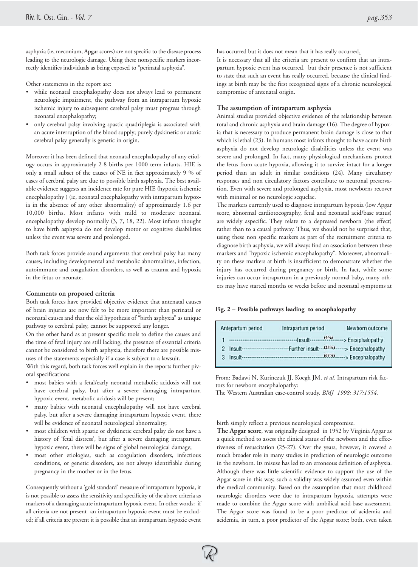asphyxia (ie, meconium, Apgar scores) are not specific to the disease process leading to the neurologic damage. Using these nonspecific markers incorrectly identifies individuals as being exposed to "perinatal asphyxia".

Other statements in the report are:

- while neonatal encephalopathy does not always lead to permanent neurologic impairment, the pathway from an intrapartum hypoxic ischemic injury to subsequent cerebral palsy must progress through neonatal encephalopathy;
- only cerebral palsy involving spastic quadriplegia is associated with an acute interruption of the blood supply; purely dyskinetic or ataxic cerebral palsy generally is genetic in origin.

Moreover it has been defined that neonatal encephalopathy of any etiology occurs in approximately 2-8 births per 1000 term infants. HIE is only a small subset of the causes of NE in fact approximately 9 % of cases of cerebral palsy are due to possible birth asphyxia**.** The best available evidence suggests an incidence rate for pure HIE (hypoxic ischemic encephalopathy ) (ie, neonatal encephalopathy with intrapartum hypoxia in the absence of any other abnormality) of approximately 1.6 per 10,000 births. Most infants with mild to moderate neonatal encephalopathy develop normally (3, 7, 18, 22). Most infants thought to have birth asphyxia do not develop motor or cognitive disabilities unless the event was severe and prolonged.

Both task forces provide sound arguments that cerebral palsy has many causes, including developmental and metabolic abnormalities, infection, autoimmune and coagulation disorders, as well as trauma and hypoxia in the fetus or neonate.

#### **Comments on proposed criteria**

Both task forces have provided objective evidence that antenatal causes of brain injuries are now felt to be more important than perinatal or neonatal causes and that the old hypothesis of "birth asphyxia" as unique pathway to cerebral palsy, cannot be supported any longer.

On the other hand as at present specific tools to define the causes and the time of fetal injury are still lacking, the presence of essential criteria cannot be considered to birth asphyxia, therefore there are possible misuses of the statements especially if a case is subject to a lawsuit.

With this regard, both task forces well explain in the reports further pivotal specifications:

- most babies with a fetal/early neonatal metabolic acidosis will not have cerebral palsy, but after a severe damaging intrapartum hypoxic event, metabolic acidosis will be present;
- many babies with neonatal encephalopathy will not have cerebral palsy, but after a severe damaging intrapartum hypoxic event, there will be evidence of neonatal neurological abnormality;
- most children with spastic or dyskinetic cerebral palsy do not have a history of 'fetal distress', but after a severe damaging intrapartum hypoxic event, there will be signs of global neurological damage;
- most other etiologies, such as coagulation disorders, infectious conditions, or genetic disorders, are not always identifiable during pregnancy in the mother or in the fetus.

Consequently without a 'gold standard' measure of intrapartum hypoxia, it is not possible to assess the sensitivity and specificity of the above criteria as markers of a damaging acute intrapartum hypoxic event. In other words: if all criteria are not present an intrapartum hypoxic event must be excluded; if all criteria are present it is possible that an intrapartum hypoxic event

has occurred but it does not mean that it has really occurred.

It is necessary that all the criteria are present to confirm that an intrapartum hypoxic event has occurred, but their presence is not sufficient to state that such an event has really occurred, because the clinical findings at birth may be the first recognized signs of a chronic neurological compromise of antenatal origin.

## **The assumption of intrapartum asphyxia**

Animal studies provided objective evidence of the relationship between total and chronic asphyxia and brain damage (16). The degree of hypoxia that is necessary to produce permanent brain damage is close to that which is lethal (23). In humans most infants thought to have acute birth asphyxia do not develop neurologic disabilities unless the event was severe and prolonged. In fact, many physiological mechanisms protect the fetus from acute hypoxia, allowing it to survive intact for a longer period than an adult in similar conditions (24). Many circulatory responses and non circulatory factors contribute to neuronal preservation. Even with severe and prolonged asphyxia, most newborns recover with minimal or no neurologic sequelae.

The markers currently used to diagnose intrapartum hypoxia (low Apgar score, abnormal cardiotocography, fetal and neonatal acid/base status) are widely aspecific. They relate to a depressed newborn (the effect) rather than to a causal pathway. Thus, we should not be surprised that, using these non specific markers as part of the recruitment criteria to diagnose birth asphyxia, we will always find an association between these markers and "hypoxic ischemic encephalopathy". Moreover, abnormality on these markers at birth is insufficient to demonstrate whether the injury has occurred during pregnancy or birth. In fact, while some injuries can occur intrapartum in a previously normal baby, many others may have started months or weeks before and neonatal symptoms at

#### **Fig. 2 – Possible pathways leading to encephalopathy**

| Antepartum period | Intrapartum period        | Newborn outcome     |
|-------------------|---------------------------|---------------------|
|                   | $(4\%)$                   | -> Encephalopathy   |
| Insult--          | .025%<br>-Further insult- | -- > Encephalopathy |
| Insult----        | $(69\%)$                  | --> Encephalopathy  |

From: Badawi N, Kurinczuk JJ, Koegh JM, *et al.* Intrapartum risk factors for newborn encephalopathy:

The Western Australian case-control study. *BMJ 1998; 317:1554.*

birth simply reflect a previous neurological compromise.

**The Apgar score**, was originally designed in 1952 by Virginia Apgar as a quick method to assess the clinical status of the newborn and the effectiveness of resuscitation (25-27). Over the years, however, it covered a much broader role in many studies in prediction of neurologic outcome in the newborn. Its misuse has led to an erroneous definition of asphyxia. Although there was little scientific evidence to support the use of the Apgar score in this way, such a validity was widely assumed even within the medical community. Based on the assumption that most childhood neurologic disorders were due to intrapartum hypoxia, attempts were made to combine the Apgar score with umbilical acid-base assessment. The Apgar score was found to be a poor predictor of acidemia and acidemia, in turn, a poor predictor of the Apgar score; both, even taken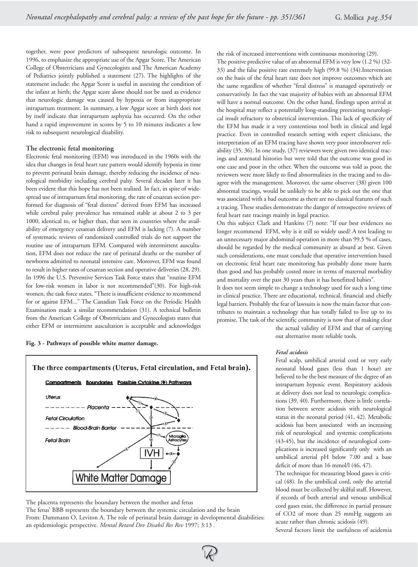together, were poor predictors of subsequent neurologic outcome. In 1996, to emphasize the appropriate use of the Apgar Score, The American College of Obstetricians and Gynecologists and The American Academy of Pediatrics jointly published a statement (27). The highlights of the statement include: the Apgar Score is useful in assessing the condition of the infant at birth; the Apgar score alone should not be used as evidence that neurologic damage was caused by hypoxia or from inappropriate intrapartum treatment. In summary, a low Apgar score at birth does not by itself indicate that intrapartum asphyxia has occurred. On the other hand a rapid improvement in scores by 5 to 10 minutes indicates a low risk to subsequent neurological disability.

## **The electronic fetal monitoring**

Electronic fetal monitoring (EFM) was introduced in the 1960s with the idea that changes in fetal heart rate pattern would identify hypoxia in time to prevent perinatal brain damage, thereby reducing the incidence of neurological morbidity including cerebral palsy. Several decades later it has been evident that this hope has not been realized. In fact, in spite of widespread use of intrapartum fetal monitoring, the rate of cesarean section performed for diagnosis of "fetal distress" derived from EFM has increased while cerebral palsy prevalence has remained stable at about 2 to 3 per 1000, identical to, or higher than, that seen in countries where the availability of emergency cesarean delivery and EFM is lacking (7). A number of systematic reviews of randomized controlled trials do not support the routine use of intrapartum EFM. Compared with intermittent auscultation, EFM does not reduce the rate of perinatal deaths or the number of newborns admitted to neonatal intensive care. Moreover, EFM was found to result in higher rates of cesarean section and operative deliveries (28, 29). In 1996 the U.S. Preventive Services Task Force states that "routine EFM for low-risk women in labor is not recommended"(30). For high-risk women, the task force states, "There is insufficient evidence to recommend for or against EFM..." The Canadian Task Force on the Periodic Health Examination made a similar recommendation (31). A technical bulletin from the American College of Obstetricians and Gynecologists states that either EFM or intermittent auscultation is acceptable and acknowledges

#### **Fig. 3 - Pathways of possible white matter damage.**



The placenta represents the boundary between the mother and fetus

The fetus' BBB represents the boundary between the systemic circulation and the brain From: Dammann O, Leviton A. The role of perinatal brain damage in developmental disabilities: an epidemiologic perspective. *Mental Retard Dev Disabil Res Rev* 1997; 3:13 *.*

the risk of increased interventions with continuous monitoring (29).

The positive predictive value of an abnormal EFM is very low (1.2 %) (32- 33) and the false positive rate extremely high (99.8 %) (34).Intervention on the basis of the fetal heart rate does not improve outcomes which are the same regardless of whether "fetal distress" is managed operatively or conservatively. In fact the vast majority of babies with an abnormal EFM will have a normal outcome. On the other hand, findings upon arrival at the hospital may reflect a potentially long-standing preexisting neurological insult refractory to obstetrical intervention. This lack of specificity of the EFM has made it a very contentious tool both in clinical and legal practice. Even in controlled research setting with expert clinicians, the interpretation of an EFM tracing have shown very poor interobserver reliability (35, 36). In one study, (37) reviewers were given two identical tracings and antenatal histories but were told that the outcome was good in one case and poor in the other. When the outcome was told as poor, the reviewers were more likely to find abnormalities in the tracing and to disagree with the management. Moreover, the same observer (38) given 100 abnormal tracings, would be unlikely to be able to pick out the one that was associated with a bad outcome as there are no classical features of such a tracing. These studies demonstrate the danger of retrospective reviews of fetal heart rate tracings mainly in legal practice.

On this subject Clark and Hankins (7) note: "If our best evidences no longer recommend EFM, why is it still so widely used? A test leading to an unnecessary major abdominal operation in more than 99.5 % of cases, should be regarded by the medical community as absurd at best. Given such considerations, one must conclude that operative intervention based on electronic fetal heart rate monitoring has probably done more harm than good and has probably costed more in terms of maternal morbidity and mortality over the past 30 years than it has benefitted babies".

It does not seem simple to change a technology used for such a long time in clinical practice. There are educational, technical, financial and chiefly legal barriers. Probably the fear of lawsuits is now the main factor that contributes to maintain a technology that has totally failed to live up to its promise. The task of the scientific community is now that of making clear

the actual validity of EFM and that of carrying out alternative more reliable tools.

#### *Fetal acidosis*

Fetal scalp, umbilical arterial cord or very early neonatal blood gases (less than 1 hour) are believed to be the best measure of the degree of an intrapartum hypoxic event. Respiratory acidosis at delivery does not lead to neurologic complications (39, 40). Furthermore, there is little correlation between severe acidosis with neurological status in the neonatal period (41, 42). Metabolic acidosis has been associated with an increasing risk of neurological and systemic complications (43-45), but the incidence of neurological complications is increased significantly only with an umbilical arterial pH below 7.00 and a base deficit of more than 16 mmol/l (46, 47).

The technique for measuring blood gases is critical (48). In the umbilical cord, only the arterial blood must be collected by skilful staff. However, if records of both arterial and venous umbilical cord gases exist, the difference in partial pressure of CO2 of more than 25 mmHg suggests an acute rather than chronic acidosis (49).

Several factors limit the usefulness of acidemia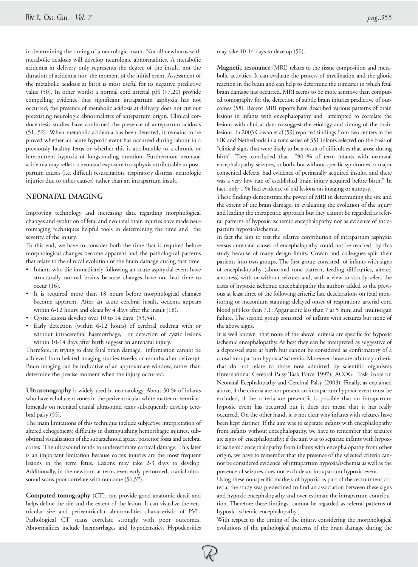in determining the timing of a neurologic insult. Not all newborns with metabolic acidosis will develop neurologic abnormalities. A metabolic acidemia at delivery only represents the degree of the insult, not the duration of acidemia nor the moment of the initial event. Assessment of the metabolic acidosis at birth is most useful for its negative predictive value (50). In other words: a normal cord arterial pH (>7.20) provide compelling evidence that significant intrapartum asphyxia has not occurred; the presence of metabolic acidosis at delivery does not cut out preexisting neurologic abnormalities of antepartum origin. Clinical cordocentesis studies have confirmed the presence of antepartum acidosis (51, 52). When metabolic acidemia has been detected, it remains to be proved whether an acute hypoxic event has occurred during labour in a previously healthy fetus or whether this is attributable to a chronic or intermittent hypoxia of longstanding duration. Furthermore neonatal acidemia may reflect a neonatal exposure to asphyxia attributable to postpartum causes (i.e. difficult resuscitation, respiratory distress, neurologic injuries due to other causes) rather than an intrapartum insult.

## **NEONATAL IMAGING**

Improving technology and increasing data regarding morphological changes and evolution of fetal and neonatal brain injuries have made neuroimaging techniques helpful tools in determining the time and the severity of the injury.

To this end, we have to consider both the time that is required before morphological changes become apparent and the pathological patterns that relate to the clinical evolution of the brain damage during that time.

- Infants who die immediately following an acute asphyxial event have structurally normal brains because changes have not had time to occur (16).
- It is required more than 18 hours before morphological changes become apparent. After an acute cerebral insult, oedema appears within 6-12 hours and clears by 4 days after the insult (18).
- Cystic lesions develop over 10 to 14 days (53,54).
- Early detection (within 6-12 hours) of cerebral oedema with or without intracerebral haemorrhage, or detection of cystic lesions within 10-14 days after birth suggest an antenatal injury.

Therefore, in trying to date fetal brain damage, information cannot be achieved from belated imaging studies (weeks or months after delivery). Brain imaging can be indicative of an approximate window, rather than determine the precise moment when the injury occurred.

**Ultrasonography** is widely used in neonatology. About 50 % of infants who have echolucent zones in the periventricular white matter or ventriculomegaly on neonatal cranial ultrasound scans subsequently develop cerebral palsy (55).

The main limitations of this technique include subjective interpretation of altered echogenicity, difficulty in distinguishing hemorrhagic injuries, subobtimal visualization of the subarachnoid space, posterior fossa and cerebral cortex. The ultrasound tends to underestimate cortical damage. This later is an important limitation because cortex injuries are the most frequent lesions in the term fetus. Lesions may take 2-3 days to develop. Additionally, in the newborn at term, even early performed, cranial ultrasound scans poor correlate with outcome (56,57).

**Computed tomography** (CT), can provide good anatomic detail and helps define the site and the extent of the lesion. It can visualize the ventricular size and periventricular abnormalities characteristic of PVL. Pathological CT scans correlate strongly with poor outcomes. Abnormalities include haemorrhages and hypodensities. Hypodensities may take 10-14 days to develop (50).

**Magnetic resonance** (MRI) relates to the tissue composition and metabolic activities. It can evaluate the process of myelination and the gliotic reaction in the brain and can help to determine the trimester in which fetal brain damage has occurred. MRI seems to be more sensitive than computed tomography for the detection of subtle brain injuries predictive of outcomes (58). Recent MRI reports have described various patterns of brain lesions in infants with encephalopathy and attempted to correlate the lesions with clinical data to suggest the etiology and timing of the brain lesions. In 2003 Cowan et al (59) reported findings from two centers in the UK and Netherlands in a total series of 351 infants selected on the basis of "clinical signs that were likely to be a result of difficulties that arose during birth". They concluded that "90 % of term infants with neonatal encephalopathy, seizures, or both, but without specific syndromes or major congenital defects, had evidence of perinatally acquired insults, and there was a very low rate of established brain injury acquired before birth." In fact, only 1 % had evidence of old lesions on imaging or autopsy.

These findings demonstrate the power of MRI in determining the site and the extent of the brain damage, in evaluating the evolution of the injury and leading the therapeutic approach but they cannot be regarded as referral patterns of hypoxic ischemic encephalopathy nor as evidence of intrapartum hypoxia/ischemia.

In fact the aim to test the relative contribution of intrapartum asphyxia versus antenatal causes of encephalopathy could not be reached by this study because of many design limits. Cowan and colleagues split their patients into two groups. The first group consisted of infants with signs of encephalopathy (abnormal tone pattern, feeding difficulties, altered alertness) with or without seizures and, with a view to strictly select the cases of hypoxic ischemic encephalopathy the authors added to the previous at least three of the following criteria: late decelerations on fetal monitoring or meconium staining; delayed onset of respiration; arterial cord blood pH less than 7.1; Apgar score less than 7 at 5 min; and multiorgan failure. The second group consisted of infants with seizures but none of the above signs.

It is well known that none of the above criteria are specific for hypoxic ischemic encephalopathy. At best they can be interpreted as suggestive of a depressed state at birth but cannot be considered as confirmatory of a causal intrapartum hypoxia/ischemia. Moreover those are arbitrary criteria that do not relate to those now admitted by scientific organisms (International Cerebral Palsy Task Force 1997); ACOG Task Force on Neonatal Ecephalopathy and Cerebral Palsy (2003). Finally, as explained above, if the criteria are not present an intrapartum hypoxic event must be excluded, if the criteria are present it is possible that an intrapartum hypoxic event has occurred but it does not mean that it has really occurred**.** On the other hand, it is not clear why infants with seizures have been kept distinct. If the aim was to separate infants with encephalopathy from infants without encephalopathy, we have to remember that seizures are signs of encephalopathy; if the aim was to separate infants with hypoxic ischemic encephalopathy from infants with encephalopathy from other origin, we have to remember that the presence of the selected criteria cannot be considered evidence of intrapartum hypoxia/ischemia as well as the presence of seizures does not exclude an intrapartum hypoxic event.

Using these nonspecific markers of hypoxia as part of the recruitment criteria, the study was predestined to find an association between these signs and hypoxic encephalopathy and over-estimate the intrapartum contribution. Therefore these findings cannot be regarded as referral patterns of hypoxic ischemic encephalopathy.

With respect to the timing of the injury, considering the morphological evolutions of the pathological patterns of the brain damage during the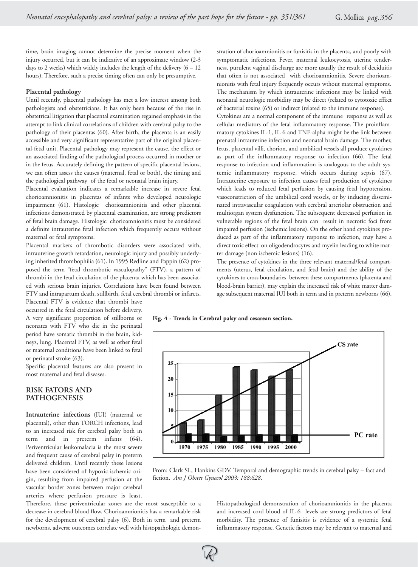time, brain imaging cannot determine the precise moment when the injury occurred, but it can be indicative of an approximate window (2-3 days to 2 weeks) which widely includes the length of the delivery  $(6 - 12)$ hours). Therefore, such a precise timing often can only be presumptive.

#### **Placental pathology**

Until recently, placental pathology has met a low interest among both pathologists and obstetricians. It has only been because of the rise in obstetrical litigation that placental examination regained emphasis in the attempt to link clinical correlations of children with cerebral palsy to the pathology of their placentas (60). After birth, the placenta is an easily accessible and very significant representative part of the original placental-fetal unit. Placental pathology may represent the cause, the effect or an associated finding of the pathological process occurred in mother or in the fetus. Accurately defining the pattern of specific placental lesions, we can often assess the causes (maternal, fetal or both), the timing and the pathological pathway of the fetal or neonatal brain injury.

Placental evaluation indicates a remarkable increase in severe fetal chorioamnionitis in placentas of infants who developed neurologic impairment (61). Histologic chorioamnionitis and other placental infections demonstrated by placental examination, are strong predictors of fetal brain damage. Histologic chorioamnionitis must be considered a definite intrauterine fetal infection which frequently occurs without maternal or fetal symptoms.

Placental markers of thrombotic disorders were associated with, intrauterine growth retardation, neurologic injury and possibly underlying inherited thrombophilia (61). In 1995 Redline and Pappin (62) proposed the term "fetal thrombotic vasculopathy" (FTV), a pattern of thrombi in the fetal circulation of the placenta which has been associated with serious brain injuries. Correlations have been found between FTV and intrapartum death, stillbirth, fetal cerebral thrombi or infarcts.

stration of chorioamnionitis or funisitis in the placenta, and poorly with symptomatic infections. Fever, maternal leukocytosis, uterine tenderness, purulent vaginal discharge are more usually the result of deciduitis that often is not associated with chorioamnionitis. Severe chorioamnionitis with fetal injury frequently occurs wthout maternal symptoms. The mechanism by which intrauterine infections may be linked with neonatal neurologic morbidity may be direct (related to cytotoxic effect of bacterial toxins (65) or indirect (related to the immune response).

Cytokines are a normal component of the immune response as well as cellular mediators of the fetal inflammatory response. The proinflammatory cytokines IL-1, IL-6 and TNF-alpha might be the link between prenatal intrauterine infection and neonatal brain damage. The mother, fetus, placental villi, chorion, and umbilical vessels all produce cytokines as part of the inflammatory response to infection (66). The fetal response to infection and inflammation is analogous to the adult systemic inflammatory response, which occurs during sepsis (67). Intrauterine exposure to infection causes fetal production of cytokines which leads to reduced fetal perfusion by causing fetal hypotension, vasoconstriction of the umbilical cord vessels, or by inducing disseminated intravascular coagulation with cerebral arteriolar obstruction and multiorgan system dysfunction. The subsequent decreased perfusion in vulnerable regions of the fetal brain can result in necrotic foci from impaired perfusion (ischemic lesions). On the other hand cytokines produced as part of the inflammatory response to infection, may have a direct toxic effect on oligodendrocytes and myelin leading to white matter damage (non ischemic lesions) (16).

The presence of cytokines in the three relevant maternal/fetal compartments (uterus, fetal circulation, and fetal brain) and the ability of the cytokines to cross boundaries between these compartments (placenta and blood-brain barrier), may explain the increased risk of white matter damage subsequent maternal IUI both in term and in preterm newborns (66).

Placental FTV is evidence that thrombi have occurred in the fetal circulation before delivery. A very significant proportion of stillborns or neonates with FTV who die in the perinatal period have somatic thrombi in the brain, kidneys, lung. Placental FTV, as well as other fetal or maternal conditions have been linked to fetal or perinatal stroke (63).

Specific placental features are also present in most maternal and fetal diseases.

## **RISK FATORS AND PATHOGENESIS**

**Intrauterine infections** (IUI) (maternal or placental), other than TORCH infections, lead to an increased risk for cerebral palsy both in term and in preterm infants (64). Periventricular leukomalacia is the most severe and frequent cause of cerebral palsy in preterm delivered children. Until recently these lesions have been considered of hypoxic-ischemic origin, resulting from impaired perfusion at the vascular border zones between major cerebral arteries where perfusion pressure is least.

Therefore, these periventricular zones are the most susceptible to a decrease in cerebral blood flow. Chorioamnionitis has a remarkable risk for the development of cerebral palsy (6). Both in term and preterm newborns, adverse outcomes correlate well with histopathologic demon-

**Fig. 4 - Trends in Cerebral palsy and cesarean section.**



From: Clark SL, Hankins GDV. Temporal and demographic trends in cerebral palsy – fact and fiction. *Am J Obstet Gynecol 2003; 188:628*.

Histopathological demonstration of chorioamnionitis in the placenta and increased cord blood of IL-6 levels are strong predictors of fetal morbidity. The presence of funisitis is evidence of a systemic fetal inflammatory response. Genetic factors may be relevant to maternal and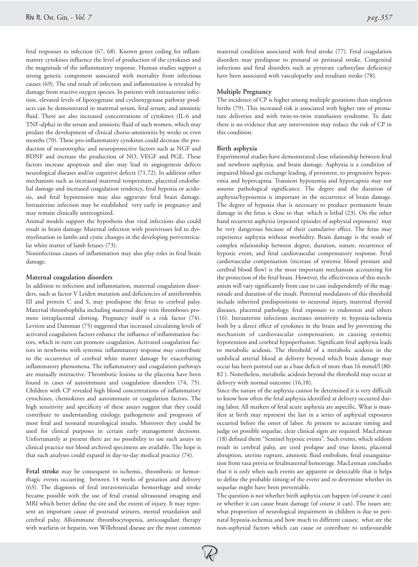fetal responses to infection (67, 68). Known genes coding for inflammatory cytokines influence the level of production of the cytokines and the magnitude of the inflammatory response. Human studies support a strong genetic component associated with mortality from infectious causes (69). The end result of infection and inflammation is revealed by damage from reactive oxygen species. In patients with intrauterine infection, elevated levels of lipoxygenase and cyclooxygenase pathway products can be demonstrated in maternal serum, fetal serum, and amniotic fluid. There are also increased concentrations of cytokines (IL-6 and TNF-alpha) in the serum and amniotic fluid of such women, which may predate the development of clinical chorio-amnionitis by weeks or even months (70). These pro-inflammatory cytokines could decrease the production of neurotrophic and neuroprotective factors such as NGF and BDNF and increase the production of NO, VEGF and PGE. These factors increase apoptosis and also may lead to angiogenesis defects neurological diseases and/or cognitive defects (71,72). In addition other mechanism such as increased maternal temperature, placental endothelial damage and increased coagulation tendency, fetal hypoxia or acidosis, and fetal hypotension may also aggravate fetal brain damage. Intrauterine infection may be established very early in pregnancy and may remain clinically unrecognized.

Animal models support the hypothesis that viral infections also could result in brain damage Maternal infection with pestiviruses led to dysmyelination in lambs and cystic changes in the developing periventricular white matter of lamb fetuses (73).

Noninfectious causes of inflammation may also play roles in fetal brain damage.

#### **Maternal coagulation disorders**

In addition to infection and inflammation, maternal coagulation disorders, such as factor V Leiden mutation and deficiencies of antithrombin III and protein C and S, may predispose the fetus to cerebral palsy. Maternal thrombophilia including maternal deep vein thromboses promote intraplacental clotting. Pregnancy itself is a risk factor (74). Leviton and Damman (75) suggested that increased circulating levels of activated coagulation factors enhance the influence of inflammation factors, which in turn can promote coagulation. Activated coagulation factors in newborns with systemic inflammatory response may contribute to the occurrence of cerebral white matter damage by exacerbating inflammatory phenomena. The inflammatory and coagulation pathways are mutually interactive. Thrombotic lesions in the placenta have been found in cases of autoimmune and coagulation disorders (74, 75). Children with CP revealed high blood concentrations of inflammatory cytochines, chemokines and autoimmune or coagulation factors. The high sensitivity and specificity of these assays suggest that they could contribute to understanding etiology, pathogenesis and prognosis of most fetal and neonatal neurological insults. Moreover they could be used for clinical purposes in certain early management decisions. Unfortunately at present there are no possibility to use such assays in clinical practice nor blood archived specimens are available. The hope is that such analyses could expand in day-to-day medical practice (74).

**Fetal stroke** may be consequent to ischemic, thrombotic or hemorrhagic events occurring between 14 weeks of gestation and delivery (63). The diagnosis of fetal intraventricular hemorrhage and stroke became possible with the use of fetal cranial ultrasound imaging and MRI which better define the site and the extent of injury. It may represent an important cause of postnatal seizures, mental retardation and cerebral palsy. Alloimmune thrombocytopenia, anticoagulant therapy with warfarin or heparin, von Willebrand disease are the most common

maternal condition associated with fetal stroke (77). Fetal coagulation disorders may predispose to prenatal or perinatal stroke. Congenital infections and fetal disorders such as pyruvate carboxylase deficiency have been associated with vasculopathy and resultant stroke (78).

## **Multiple Pregnancy**

The incidence of CP is higher among multiple gestations than singleton births (79). This increased risk is associated with higher rate of premature deliveries and with twin-to-twin transfusion syndrome. To date there is no evidence that any intervention may reduce the risk of CP in this condition.

## **Birth asphyxia**

Experimental studies have demonstrated close relationship between fetal and newborn asphyxia, and brain damage. Asphyxia is a condition of impaired blood gas exchange leading, if persistent, to progressive hypoxemia and hypercapnia. Transient hypoxemia and hypercapnia may not assume pathological significance. The degree and the duration of asphyxia/hypoxemia is important in the occurrence of brain damage. The degree of hypoxia that is necessary to produce permanent brain damage in the fetus is close to that which is lethal (23). On the other hand recurrent asphyxia (repeated episodes of asphyxial exposures) may be very dangerous because of their cumulative effect. The fetus may experience asphyxia without morbidity. Brain damage is the result of complex relationship between degree, duration, nature, recurrence of hypoxic event, and fetal cardiovascular compensatory response. Fetal cardiovascular compensation (increase of systemic blood pressure and cerebral blood flow) is the most important mechanism accounting for the protection of the fetal brain. However, the effectiveness of this mechanism will vary significantly from case to case independently of the magnitude and duration of the insult. Potential modulators of this threshold include inherited predispositions to neuronal injury, maternal thyroid diseases, placental pathology, fetal exposure to endotoxin and others (16). Intrauterine infections increases sensitivity to hypoxia-ischemia both by a direct effect of cytokines in the brain and by preventing the mechanism of cardiovascular compensation, in causing systemic hypotension and cerebral hypoperfusion. Significant fetal asphyxia leads to metabolic acidosis. The threshold of a metabolic acidosis in the umbilical arterial blood at delivery beyond which brain damage may occur has been pointed out as a base deficit of more than 16 mmol/l (80- 82 ). Nonetheless, metabolic acidosis beyond the threshold may occur at delivery with normal outcome (16,18).

Since the nature of the asphyxia cannot be determined it is very difficult to know how often the fetal asphyxia identified at delivery occurred during labor. All markers of fetal acute asphyxia are aspecific. What is manifest at birth may represent the last in a series of asphyxial exposures occurred before the onset of labor. At present to accurate timing and judge on possible sequelae, clear clinical signs are required. MacLennan (18) defined them "Sentinel hypoxic events". Such events, which seldom result in cerebral palsy, are cord prolapse and true knots, placental abruption, uterine rupture, amniotic fluid embolism, fetal exsanguination from vasa previa or fetalmaternal hemorrage. MacLennan concludes that it is only when such events are apparent or detectable that it helps to define the probable timing of the event and to determine whether its sequelae might have been preventable.

The question is not whether birth asphyxia can happen (of course it can) or whether it can cause brain damage (of course it can). The issues are: what proportion of neurological impairment in children is due to perinatal hypoxia-ischemia and how much to different causes; what are the non-asphyxial factors which can cause or contribute to unfavourable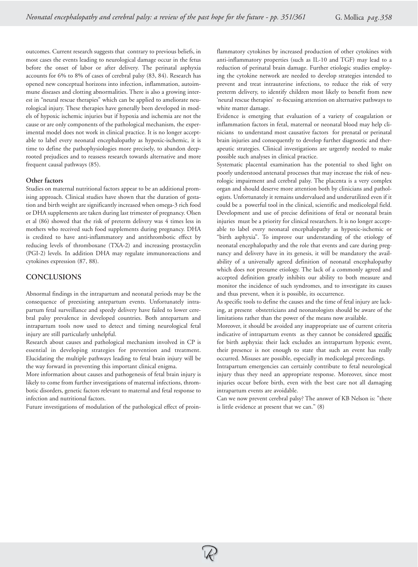outcomes. Current research suggests that contrary to previous beliefs, in most cases the events leading to neurological damage occur in the fetus before the onset of labor or after delivery. The perinatal asphyxia accounts for 6% to 8% of cases of cerebral palsy (83, 84). Research has opened new conceptual horizons into infection, inflammation, autoimmune diseases and clotting abnormalities. There is also a growing interest in "neural rescue therapies" which can be applied to ameliorate neurological injury. These therapies have generally been developed in models of hypoxic ischemic injuries but if hypoxia and ischemia are not the cause or are only components of the pathological mechanism, the experimental model does not work in clinical practice. It is no longer acceptable to label every neonatal encephalopathy as hypoxic-ischemic, it is time to define the pathophysiologies more precisely, to abandon deeprooted prejudices and to reassess research towards alternative and more frequent causal pathways (85).

#### **Other factors**

Studies on maternal nutritional factors appear to be an additional promising approach. Clinical studies have shown that the duration of gestation and birth weight are significantly increased when omega-3 rich food or DHA supplements are taken during last trimester of pregnancy. Olsen et al (86) showed that the risk of preterm delivery was 4 times less in mothers who received such food supplements during pregnancy. DHA is credited to have anti-inflammatory and antithrombotic effect by reducing levels of thromboxane (TXA-2) and increasing prostacyclin (PGI-2) levels. In addition DHA may regulate immunoreactions and cytokines expression (87, 88).

## **CONCLUSIONS**

Abnormal findings in the intrapartum and neonatal periods may be the consequence of preexisting antepartum events. Unfortunately intrapartum fetal surveillance and speedy delivery have failed to lower cerebral palsy prevalence in developed countries. Both antepartum and intrapartum tools now used to detect and timing neurological fetal injury are still particularly unhelpful.

Research about causes and pathological mechanism involved in CP is essential in developing strategies for prevention and treatment. Elucidating the multiple pathways leading to fetal brain injury will be the way forward in preventing this important clinical enigma.

More information about causes and pathogenesis of fetal brain injury is likely to come from further investigations of maternal infections, thrombotic disorders, genetic factors relevant to maternal and fetal response to infection and nutritional factors.

Future investigations of modulation of the pathological effect of proin-

flammatory cytokines by increased production of other cytokines with anti-inflammatory properties (such as IL-10 and TGF) may lead to a reduction of perinatal brain damage. Further etiologic studies employing the cytokine network are needed to develop strategies intended to prevent and treat intrauterine infections, to reduce the risk of very preterm delivery, to identify children most likely to benefit from new 'neural rescue therapies' re-focusing attention on alternative pathways to white matter damage.

Evidence is emerging that evaluation of a variety of coagulation or inflammation factors in fetal, maternal or neonatal blood may help clinicians to understand most causative factors for prenatal or perinatal brain injuries and consequently to develop further diagnostic and therapeutic strategies. Clinical investigations are urgently needed to make possible such analyses in clinical practice.

Systematic placental examination has the potential to shed light on poorly understood antenatal processes that may increase the risk of neurologic impairment and cerebral palsy. The placenta is a very complex organ and should deserve more attention both by clinicians and pathologists. Unfortunately it remains undervalued and underutilized even if it could be a powerful tool in the clinical, scientific and medicolegal field. Development and use of precise definitions of fetal or neonatal brain injuries must be a priority for clinical researchers. It is no longer acceptable to label every neonatal encephalopathy as hypoxic-ischemic or "birth asphyxia". To improve our understanding of the etiology of neonatal encephalopathy and the role that events and care during pregnancy and delivery have in its genesis, it will be mandatory the availability of a universally agreed definition of neonatal encephalopathy which does not presume etiology. The lack of a commonly agreed and accepted definition greatly inhibits our ability to both measure and monitor the incidence of such syndromes, and to investigate its causes and thus prevent, when it is possible, its occurrence.

As specific tools to define the causes and the time of fetal injury are lacking, at present obstetricians and neonatologists should be aware of the limitations rather than the power of the means now available.

Moreover, it should be avoided any inappropriate use of current criteria indicative of intrapartum events as they cannot be considered specific for birth asphyxia: their lack excludes an intrapartum hypoxic event, their presence is not enough to state that such an event has really occurred. Misuses are possible, especially in medicolegal preceedings.

Intrapartum emergencies can certainly contribute to fetal neurological injury thus they need an appropriate response. Moreover, since most injuries occur before birth, even with the best care not all damaging intrapartum events are avoidable.

Can we now prevent cerebral palsy? The answer of KB Nelson is: "there is little evidence at present that we can." (8)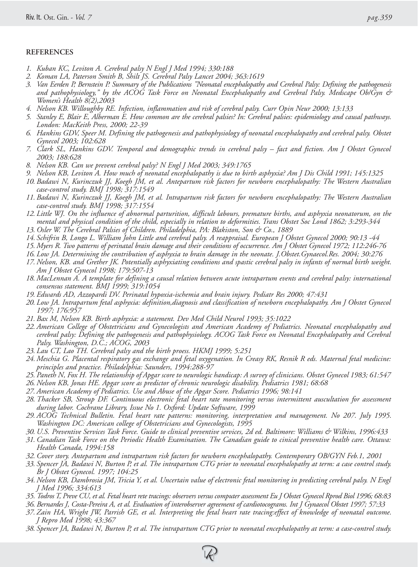## **REFERENCES**

- *1. Kuban KC, Leviton A. Cerebral palsy N Engl J Med 1994; 330:188*
- *2. Koman LA, Paterson Smith B, Shilt JS. Cerebral Palsy Lancet 2004; 363:1619*
- *3. Van Eerden P, Bernstein P. Summary of the Publications "Neonatal encephalopathy and Cerebral Palsy: Defining the pathogenesis and pathophysiology," by the ACOG Task Force on Neonatal Encephalopathy and Cerebral Palsy. Medscape Ob/Gyn & Women's Health 8(2),2003*
- *4. Nelson KB. Willoughby RE. Infection, inflammation and risk of cerebral palsy. Curr Opin Neur 2000; 13:133*
- *5. Stanley E, Blair E, Alberman E. How common are the cerebral palsies? In: Cerebral palsies: epidemiology and causal pathways. London: MacKeith Press, 2000; 22-39*
- *6. Hankins GDV, Speer M. Defining the pathogenesis and pathophysiology of neonatal encephalopathy and cerebral palsy. Obstet Gynecol 2003; 102:628*
- *7. Clark SL, Hankins GDV. Temporal and demographic trends in cerebral palsy fact and fiction. Am J Obstet Gynecol 2003; 188:628*
- *8. Nelson KB. Can we prevent cerebral palsy? N Engl J Med 2003; 349:1765*
- *9. Nelson KB, Leviton A. How much of neonatal encephalopathy is due to birth asphyxia? Am J Dis Child 1991; 145:1325*
- *10. Badawi N, Kurinczuk JJ, Koegh JM, et al. Antepartum risk factors for newborn encephalopathy: The Western Australian case-control study. BMJ 1998; 317:1549*
- *11. Badawi N, Kurinczuk JJ, Koegh JM, et al. Intrapartum risk factors for newborn encephalopathy: The Western Australian case-control study. BMJ 1998; 317:1554*
- *12. Little WJ. On the influence of abnormal parturition, difficult labours, premature births, and asphyxia neonatorum, on the mental and physical condition of the child, especially in relation to deformities. Trans Obstet Soc Lond 1862; 3:293-344*
- *13. Osler W. The Cerebral Palsies of Children. Philadelphia, PA: Blakiston, Son & Co., 1889*
- *14. Schifrin B, Longo L. William John Little and cerebral palsy. A reappraisal. European J Obstet Gynecol 2000; 90:13 -44*
- *15. Myers R. Two patterns of perinatal brain damage and their conditions of occurrence. Am J Obstet Gynecol 1972; 112:246-76*
- *16. Low JA. Determining the contribution of asphyxia to brain damage in the neonate. J.Obstet.Gynaecol.Res. 2004; 30:276*
- *17. Nelson, KB. and Grether JK. Potentially asphyxiating conditions and spastic cerebral palsy in infants of normal birth weight. Am J Obstet Gynecol 1998; 179:507-13*
- *18. MacLennan A. A template for defining a causal relation between acute intrapartum events and cerebral palsy: international consensus statement. BMJ 1999; 319:1054*
- *19. Edwards AD, Azzopardi DV. Perinatal hypoxia-ischemia and brain injury. Pediatr Res 2000; 47:431*
- *20. Low JA. Intrapartum fetal asphyxia: definition,diagnosis and classification of newborn encephalopathy. Am J Obstet Gynecol 1997; 176:957*
- *21. Bax M, Nelson KB. Birth asphyxia: a statement. Dev Med Child Neurol 1993; 35:1022*
- *22. American College of Obstetricians and Gynecologists and American Academy of Pediatrics. Neonatal encephalopathy and cerebral palsy: Defining the pathogenesis and pathophysiology. ACOG Task Force on Neonatal Encephalopathy and Cerebral Palsy. Washington, D.C.; ACOG, 2003*
- *23. Lau CT, Lao TH. Cerebral palsy and the birth proess. HKMJ 1999; 5:251*
- *24. Meschia G. Placental respiratory gas exchange and fetal oxygenation. In Creasy RK, Resnik R eds. Maternal fetal medicine: principles and practice. Philadelphia: Saunders, 1994:288-97*
- *25. Paneth N, Fox H. The relationship of Apgar score to neurologic handicap: A survey of clinicians. Obstet Gynecol 1983; 61:547*
- *26. Nelson KB, Jonas HE. Apgar score as predictor of chronic neurologic disability. Pediatrics 1981; 68:68*
- *27. American Academy of Pediatrics. Use and Abuse of the Apgar Score. Pediatrics 1996; 98:141*
- *28. Thacker SB, Stroup DF. Continuous electronic fetal heart rate monitoring versus intermittent auscultation for assessment during labor. Cochrane Library, Issue No 1. Oxford: Update Software, 1999*
- *29. ACOG Technical Bulletin. Fetal heart rate patterns: monitoring, interpretation and management. No 207. July 1995. Washington DC: American college of Obstetricians and Gynecologists, 1995*
- *30. U.S. Preventive Services Task Force. Guide to clinical preventive services, 2d ed. Baltimore: Williams & Wilkins, 1996:433*
- *31. Canadian Task Force on the Periodic Health Examination. The Canadian guide to cinical preventive health care. Ottawa: Health Canada, 1994:158*
- *32. Cover story. Antepartum and intrapartum risk factors for newborn encephalopathy. Contemporary OB/GYN Feb.1, 2001*
- *33. Spencer JA, Badawi N, Burton P, et al. The intrapartum CTG prior to neonatal encephalopathy at term: a case control study. Br J Obstet Gynecol. 1997; 104:25*
- *34. Nelson KB, Dambrosia JM, Tricia Y, et al. Uncertain value of electronic fetal monitoring in predicting cerebral palsy. N Engl J Med 1996; 334:613*
- *35. Todros T, Preve CU, et al. Fetal heart rete tracings: observers versus computer assessment Eu J Obstet Gynecol Rprod Biol 1996; 68:83*
- *36. Bernardes J, Costa-Pereira A, et al. Evaluation of interobserver agreement of cardiotocograms. Int J Gynaecol Obstet 1997; 57:33*
- *37. Zain HA, Wright JW, Parrish GE, et al. Interpreting the fetal heart rate tracing:effect of knowledge of neonatal outcome. J Repro Med 1998; 43:367*
- *38. Spencer JA, Badawi N, Burton P, et al. The intrapartum CTG prior to neonatal encephalopathy at term: a case-control study.*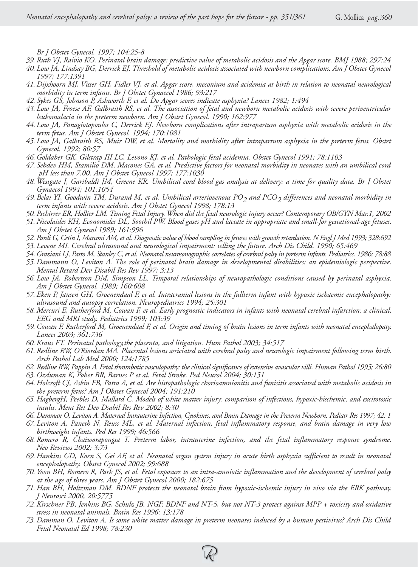*Br J Obstet Gynecol. 1997; 104:25-8*

- *39. Ruth VJ, Raivio KO. Perinatal brain damage: predictive value of metabolic acidosis and the Apgar score. BMJ 1988; 297:24*
- *40. Low JA, Lindsay BG, Derrick EJ. Threshold of metabolic acidosis associated with newborn complications. Am J Obstet Gynecol 1997; 177:1391*
- *41. Dijxhoorn MJ, Visser GH, Fidler VJ, et al. Apgar score, meconium and acidemia at birth in relation to neonatal neurological morbidity in term infants. Br J Obstet Gynaecol 1986; 93:217*
- *42. Sykes GS, Johnson P, Ashworth F, et al. Do Apgar scores indicate asphyxia? Lancet 1982; 1:494*
- *43. Low JA, Froese AF, Galbraith RS, et al. The association of fetal and newborn metabolic acidosis with severe periventricular leukomalacia in the preterm newborn. Am J Obstet Gynecol. 1990; 162:977*
- *44. Low JA, Panagiotopoulos C, Derrick EJ. Newborn complications after intrapartum asphyxia with metabolic acidosis in the term fetus. Am J Obstet Gynecol. 1994; 170:1081*
- *45. Low JA, Galbraith RS, Muir DW, et al. Mortality and morbidity after intrapartum asphyxia in the preterm fetus. Obstet Gynecol. 1992; 80:57*
- *46. Goldaber GK, Gilstrap III LC, Levono KJ, et al. Pathologic fetal acidemia. Obstet Gynecol 1991; 78:1103*
- *47. Sehdev HM, Stamilio DM, Macones GA, et al. Predictive factors for neonatal morbidity in neonates with an umbilical cord pH less than 7.00. Am J Obstet Gynecol 1997; 177:1030*
- *48. Westgate J, Garibaldi JM, Greene KR. Umbilical cord blood gas analysis at delivery: a time for quality data. Br J Obstet Gynaecol 1994; 101:1054*
- *49. Belai YI, Goodwin TM, Durand M, et al. Umbilical arteriovenous PO2 and PCO2 differences and neonatal morbidity in term infants with severe acidosis. Am J Obstet Gynecol 1998; 178:13*
- *50. Pschirrer ER, Hollier LM. Timing Fetal Injury. When did the fetal neurologic injury occur? Contemporary OB/GYN Mar.1, 2002*
- *51. Nicolaides KH, Economides DL, Soothil PW. Blood gases pH and lactate in appropriate and small-for gestational-age fetuses. Am J Obstet Gynecol 1989; 161:996*
- *52. Pardi G, Cetin I, Marconi AM, et al. Diagnostic value of blood sampling in fetuses with growth retardation. N Engl J Med 1993; 328:692*
- *53. Levene MI. Cerebral ultrasound and neurological impairment: telling the future. Arch Dis Child. 1990; 65:469*
- *54. Graziani LJ, Pasto M, Stanley C, et al. Neonatal neurosonographic correlates of cerebral palsy in preterm infants. Pediatrics. 1986; 78:88*
- *55. Dammann O, Leviton A. The role of perinatal brain damage in developmental disabilities: an epidemiologic perspective. Mental Retard Dev Disabil Res Rev 1997; 3:13*
- *56. Low JA, Robertson DM, Simpson LL. Temporal relationships of neuropathologic conditions caused by perinatal asphyxia. Am J Obstet Gynecol. 1989; 160:608*
- *57. Eken P, Jansen GH, Groenendaal F, et al. Intracranial lesions in the fullterm infant with hypoxic ischaemic encephalopathy: ultrasound and autopsy correlation. Neuropediatrics 1994; 25:301*
- *58. Mercuri E, Rutherford M, Cowan F, et al. Early prognostic indicators in infants with neonatal cerebral infarction: a clinical, EEG and MRI study. Pediatrics 1999; 103:39*
- *59. Cowan F, Rutherford M, Groenendaal F, et al. Origin and timing of brain lesions in term infants with neonatal encephalopaty. Lancet 2003; 361:736*
- *60. Kraus FT. Perinatal pathology,the placenta, and litigation. Hum Pathol 2003; 34:517*
- *61. Redline RW, O'Riordan MA. Placental lesions assiciated with cerebral palsy and neurologic impairment following term birth. Arch Pathol Lab Med 2000; 124:1785*
- *62. Redline RW, Pappin A. Fetal thrombotic vasculopathy: the clinical significance of extensive avascular villi. Human Pathol 1995; 26:80*
- *63. Ozduman K, Pober BR, Barnes P et al. Fetal Stroke. Ped Neurol 2004; 30:151*
- *64. Holcroft CJ, Askin FB, Patra A, et al. Are histopathologic chorioamnionitis and funisitis associated with metabolic acidosis in the preterm fetus? Am J Obstet Gynecol 2004; 191:210*
- *65. HagbergH, Peebles D, Mallard C. Models of white matter injury: comparison of infectious, hypoxic-hischemic, and excitotoxic insults. Ment Ret Dev Dsabil Res Rev 2002; 8:30*
- *66. Damman O, Leviton A. Maternal Intrauterine Infection, Cytokines, and Brain Damage in the Preterm Newborn. Pediatr Res 1997; 42: 1*
- *67. Leviton A, Paneth N, Reuss ML, et al. Maternal infection, fetal inflammatory response, and brain damage in very low birthweight infants. Ped Res 1999; 46:566*
- *68. Romero R, Chaiworapongsa T. Preterm labor, intrauterine infection, and the fetal inflammatory response syndrome. Neo Reviews 2002; 3:73*
- *69. Hankins GD, Koen S, Gei AF, et al. Neonatal organ system injury in acute birth asphyxia sufficient to result in neonatal encephalopathy. Obstet Gynecol 2002; 99:688*
- *70. Yoon BH, Romero R, Park JS, et al. Fetal exposure to an intra-amniotic inflammation and the development of cerebral palsy at the age of three years. Am J Obstet Gynecol 2000; 182:675*
- *71. Han BH, Holtzman DM. BDNF protects the neonatal brain from hypoxic-ischemic injury in vivo via the ERK pathway. J Neurosci 2000, 20:5775*
- *72. Kirschner PB, Jenkins BG, Schulz JB. NGF, BDNF and NT-5, but not NT-3 protect against MPP + toxicity and oxidative stress in neonatal animals. Brain Res 1996; 13:178*
- *73. Damman O, Leviton A. Is some white matter damage in preterm neonates induced by a human pestivirus? Arch Dis Child Fetal Neonatal Ed 1998; 78:230*